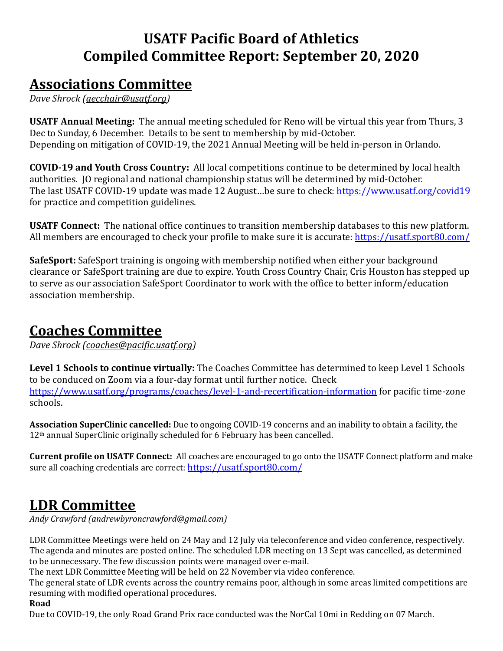# **USATF Pacific Board of Athletics Compiled Committee Report: September 20, 2020**

## **Associations Committee**

*Dave Shrock [\(aecchair@usatf.org\)](mailto:aecchair@usatf.org)* 

**USATF Annual Meeting:** The annual meeting scheduled for Reno will be virtual this year from Thurs, 3 Dec to Sunday, 6 December. Details to be sent to membership by mid-October. Depending on mitigation of COVID-19, the 2021 Annual Meeting will be held in-person in Orlando.

**COVID-19 and Youth Cross Country:** All local competitions continue to be determined by local health authorities. JO regional and national championship status will be determined by mid-October. The last USATF COVID-19 update was made 12 August…be sure to check: <https://www.usatf.org/covid19> for practice and competition guidelines.

**USATF Connect:** The national office continues to transition membership databases to this new platform. All members are encouraged to check your profile to make sure it is accurate: <https://usatf.sport80.com/>

**SafeSport:** SafeSport training is ongoing with membership notified when either your background clearance or SafeSport training are due to expire. Youth Cross Country Chair, Cris Houston has stepped up to serve as our association SafeSport Coordinator to work with the office to better inform/education association membership.

# **Coaches Committee**

*Dave Shrock [\(coaches@pacific.usatf.org\)](mailto:coaches@pacific.usatf.org)* 

**Level 1 Schools to continue virtually:** The Coaches Committee has determined to keep Level 1 Schools to be conduced on Zoom via a four-day format until further notice. Check <https://www.usatf.org/programs/coaches/level-1-and-recertification-information> for pacific time-zone schools.

**Association SuperClinic cancelled:** Due to ongoing COVID-19 concerns and an inability to obtain a facility, the 12<sup>th</sup> annual SuperClinic originally scheduled for 6 February has been cancelled.

**Current profile on USATF Connect:** All coaches are encouraged to go onto the USATF Connect platform and make sure all coaching credentials are correct: <https://usatf.sport80.com/>

# **LDR Committee**

*Andy Crawford (andrewbyroncrawford@gmail.com)*

LDR Committee Meetings were held on 24 May and 12 July via teleconference and video conference, respectively. The agenda and minutes are posted online. The scheduled LDR meeting on 13 Sept was cancelled, as determined to be unnecessary. The few discussion points were managed over e-mail.

The next LDR Committee Meeting will be held on 22 November via video conference.

The general state of LDR events across the country remains poor, although in some areas limited competitions are resuming with modified operational procedures.

### **Road**

Due to COVID-19, the only Road Grand Prix race conducted was the NorCal 10mi in Redding on 07 March.